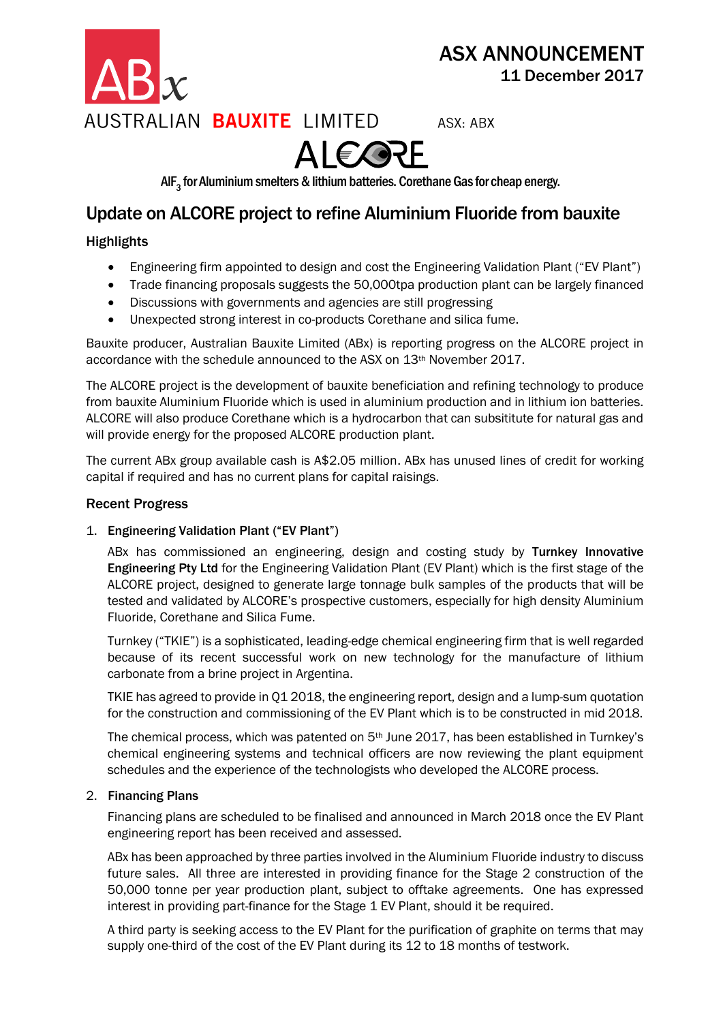

ASX: ABX



AlF $_3$  for Aluminium smelters & lithium batteries. Corethane Gas for cheap energy.

### Update on ALCORE project to refine Aluminium Fluoride from bauxite

### **Highlights**

- Engineering firm appointed to design and cost the Engineering Validation Plant ("EV Plant")
- Trade financing proposals suggests the 50,000tpa production plant can be largely financed
- Discussions with governments and agencies are still progressing
- Unexpected strong interest in co-products Corethane and silica fume.

Bauxite producer, Australian Bauxite Limited (ABx) is reporting progress on the ALCORE project in accordance with the schedule announced to the ASX on 13th November 2017.

The ALCORE project is the development of bauxite beneficiation and refining technology to produce from bauxite Aluminium Fluoride which is used in aluminium production and in lithium ion batteries. ALCORE will also produce Corethane which is a hydrocarbon that can subsititute for natural gas and will provide energy for the proposed ALCORE production plant.

The current ABx group available cash is A\$2.05 million. ABx has unused lines of credit for working capital if required and has no current plans for capital raisings.

### Recent Progress

### 1. Engineering Validation Plant ("EV Plant")

ABx has commissioned an engineering, design and costing study by Turnkey Innovative Engineering Pty Ltd for the Engineering Validation Plant (EV Plant) which is the first stage of the ALCORE project, designed to generate large tonnage bulk samples of the products that will be tested and validated by ALCORE's prospective customers, especially for high density Aluminium Fluoride, Corethane and Silica Fume.

Turnkey ("TKIE") is a sophisticated, leading-edge chemical engineering firm that is well regarded because of its recent successful work on new technology for the manufacture of lithium carbonate from a brine project in Argentina.

TKIE has agreed to provide in Q1 2018, the engineering report, design and a lump-sum quotation for the construction and commissioning of the EV Plant which is to be constructed in mid 2018.

The chemical process, which was patented on  $5<sup>th</sup>$  June 2017, has been established in Turnkey's chemical engineering systems and technical officers are now reviewing the plant equipment schedules and the experience of the technologists who developed the ALCORE process.

### 2. Financing Plans

Financing plans are scheduled to be finalised and announced in March 2018 once the EV Plant engineering report has been received and assessed.

ABx has been approached by three parties involved in the Aluminium Fluoride industry to discuss future sales. All three are interested in providing finance for the Stage 2 construction of the 50,000 tonne per year production plant, subject to offtake agreements. One has expressed interest in providing part-finance for the Stage 1 EV Plant, should it be required.

A third party is seeking access to the EV Plant for the purification of graphite on terms that may supply one-third of the cost of the EV Plant during its 12 to 18 months of testwork.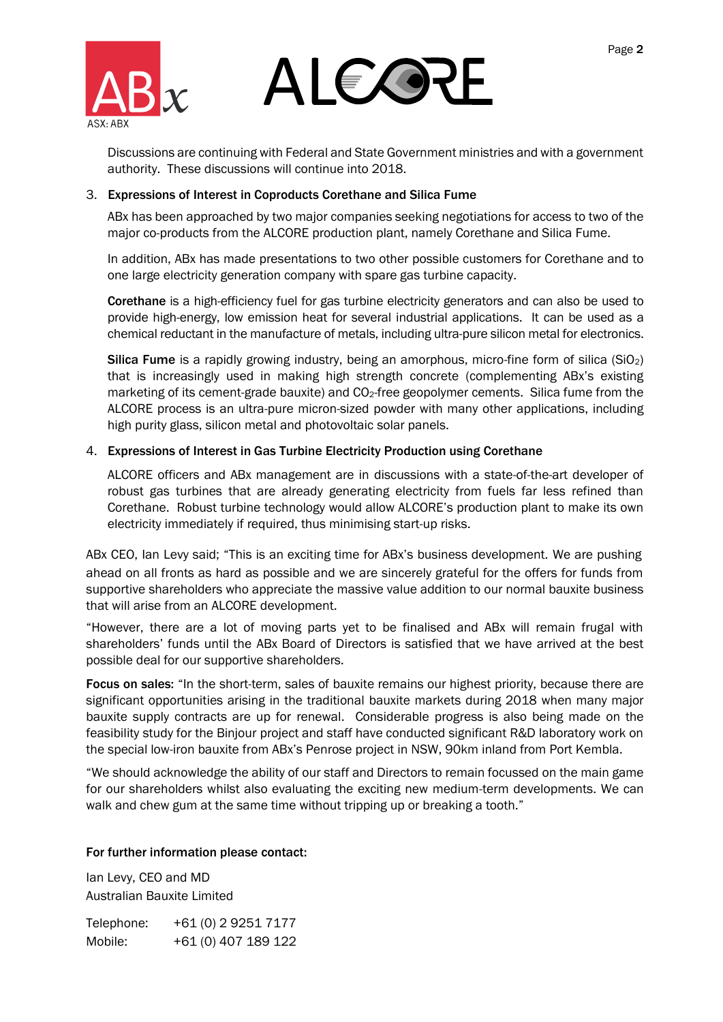

## AI E ORF

Discussions are continuing with Federal and State Government ministries and with a government authority. These discussions will continue into 2018.

### 3. Expressions of Interest in Coproducts Corethane and Silica Fume

ABx has been approached by two major companies seeking negotiations for access to two of the major co-products from the ALCORE production plant, namely Corethane and Silica Fume.

In addition, ABx has made presentations to two other possible customers for Corethane and to one large electricity generation company with spare gas turbine capacity.

Corethane is a high-efficiency fuel for gas turbine electricity generators and can also be used to provide high-energy, low emission heat for several industrial applications. It can be used as a chemical reductant in the manufacture of metals, including ultra-pure silicon metal for electronics.

Silica Fume is a rapidly growing industry, being an amorphous, micro-fine form of silica (SiO2) that is increasingly used in making high strength concrete (complementing ABx's existing marketing of its cement-grade bauxite) and CO<sub>2</sub>-free geopolymer cements. Silica fume from the ALCORE process is an ultra-pure micron-sized powder with many other applications, including high purity glass, silicon metal and photovoltaic solar panels.

### 4. Expressions of Interest in Gas Turbine Electricity Production using Corethane

ALCORE officers and ABx management are in discussions with a state-of-the-art developer of robust gas turbines that are already generating electricity from fuels far less refined than Corethane. Robust turbine technology would allow ALCORE's production plant to make its own electricity immediately if required, thus minimising start-up risks.

ABx CEO, Ian Levy said; "This is an exciting time for ABx's business development. We are pushing ahead on all fronts as hard as possible and we are sincerely grateful for the offers for funds from supportive shareholders who appreciate the massive value addition to our normal bauxite business that will arise from an ALCORE development.

"However, there are a lot of moving parts yet to be finalised and ABx will remain frugal with shareholders' funds until the ABx Board of Directors is satisfied that we have arrived at the best possible deal for our supportive shareholders.

Focus on sales: "In the short-term, sales of bauxite remains our highest priority, because there are significant opportunities arising in the traditional bauxite markets during 2018 when many major bauxite supply contracts are up for renewal. Considerable progress is also being made on the feasibility study for the Binjour project and staff have conducted significant R&D laboratory work on the special low-iron bauxite from ABx's Penrose project in NSW, 90km inland from Port Kembla.

"We should acknowledge the ability of our staff and Directors to remain focussed on the main game for our shareholders whilst also evaluating the exciting new medium-term developments. We can walk and chew gum at the same time without tripping up or breaking a tooth."

### For further information please contact:

Ian Levy, CEO and MD Australian Bauxite Limited

Telephone: +61 (0) 2 9251 7177 Mobile: +61 (0) 407 189 122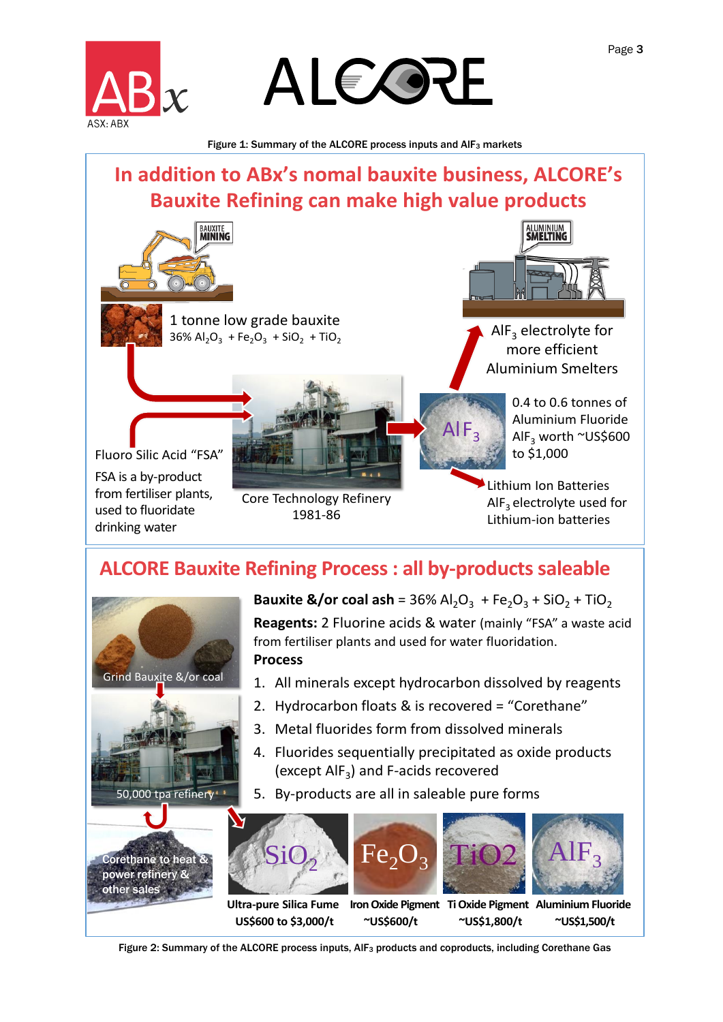



Figure 1: Summary of the ALCORE process inputs and AIF<sub>3</sub> markets

## **IDENTIFY SURFERE ALCORE PROCESS INDUSTRED ARRANGEMENT CORPORAL FIGURE 1: Summary of the ALCORE process inputs and AIF<sub>3</sub> markets<br>
<b>In addition to ABx's nomal bauxite business, ALCORE's**<br> **In addition to ABx's nomal bauxit Bauxite Refining can make high value products**



Fluoro Silic Acid "FSA" FSA is a by-product from fertiliser plants, used to fluoridate drinking water

**EXUXITE<br>
MINING<br>
1 tonne low grade bauxite**<br>
36%  $Al_2O_3$  + Fe<sub>2</sub>O<sub>3</sub> + SiO<sub>2</sub> + TiO<sub>2</sub> 36%  $Al_2O_3$  + Fe<sub>2</sub>O<sub>3</sub> + SiO<sub>2</sub> + TiO<sub>2</sub>



 $AlF_3$  electrolyte for more efficient Aluminium Smelters

> 0.4 to 0.6 tonnes of Aluminium Fluoride AlF<sub>3</sub> worth ~US\$600 to \$1,000

Lithium Ion Batteries  $AIF<sub>3</sub>$  electrolyte used for Lithium-ion batteries

Core Technology Refinery 1981-86



ALCORE Bauxite Refining Process : all by-products saleable<br>
Example 1981-86<br>
ALCORE Bauxite Refining Process : all by-products saleable<br>
Bauxite Refining Process : all by-products saleable<br>
Bauxite &/or coal ash = 36% Al<sub>2</sub> **Bauxite &/or coal ash** =  $36\%$  Al<sub>2</sub>O<sub>3</sub> + Fe<sub>2</sub>O<sub>3</sub> + SiO<sub>2</sub> + TiO<sub>2</sub> **Reagents:** 2 Fluorine acids & water (mainly "FSA" a waste acid from fertiliser plants and used for water fluoridation. **Process**

 $AlF<sub>3</sub>$ 

- 1. All minerals except hydrocarbon dissolved by reagents
- 2. Hydrocarbon floats & is recovered = "Corethane"
- 3. Metal fluorides form from dissolved minerals
- 4. Fluorides sequentially precipitated as oxide products (except  $\mathsf{AlF}_3$ ) and F-acids recovered
- 5. By-products are all in saleable pure forms



Figure 2: Summary of the ALCORE process inputs, AIF<sub>3</sub> products and coproducts, including Corethane Gas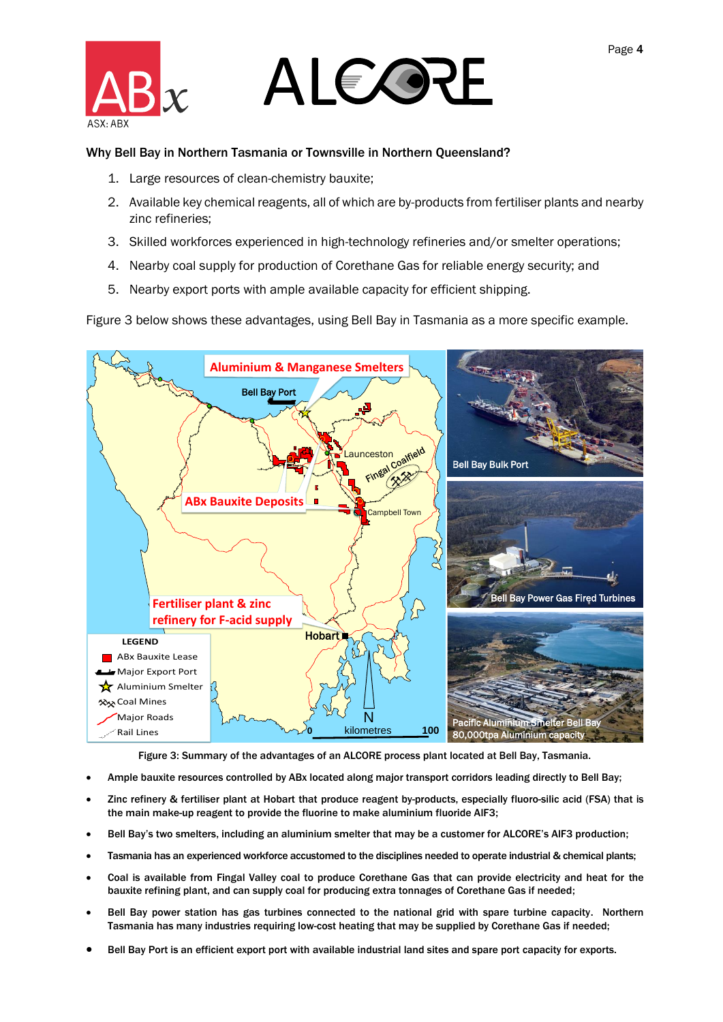

### ALEOZE

### Why Bell Bay in Northern Tasmania or Townsville in Northern Queensland?

- 1. Large resources of clean-chemistry bauxite;
- 2. Available key chemical reagents, all of which are by-products from fertiliser plants and nearby zinc refineries;
- 3. Skilled workforces experienced in high-technology refineries and/or smelter operations;
- 4. Nearby coal supply for production of Corethane Gas for reliable energy security; and
- 5. Nearby export ports with ample available capacity for efficient shipping.

Figure 3 below shows these advantages, using Bell Bay in Tasmania as a more specific example.



Figure 3: Summary of the advantages of an ALCORE process plant located at Bell Bay, Tasmania.

- Ample bauxite resources controlled by ABx located along major transport corridors leading directly to Bell Bay;
- Zinc refinery & fertiliser plant at Hobart that produce reagent by-products, especially fluoro-silic acid (FSA) that is the main make-up reagent to provide the fluorine to make aluminium fluoride AlF3;
- Bell Bay's two smelters, including an aluminium smelter that may be a customer for ALCORE's AlF3 production;
- Tasmania has an experienced workforce accustomed to the disciplines needed to operate industrial & chemical plants;
- Coal is available from Fingal Valley coal to produce Corethane Gas that can provide electricity and heat for the bauxite refining plant, and can supply coal for producing extra tonnages of Corethane Gas if needed;
- Bell Bay power station has gas turbines connected to the national grid with spare turbine capacity. Northern Tasmania has many industries requiring low-cost heating that may be supplied by Corethane Gas if needed;
- Bell Bay Port is an efficient export port with available industrial land sites and spare port capacity for exports.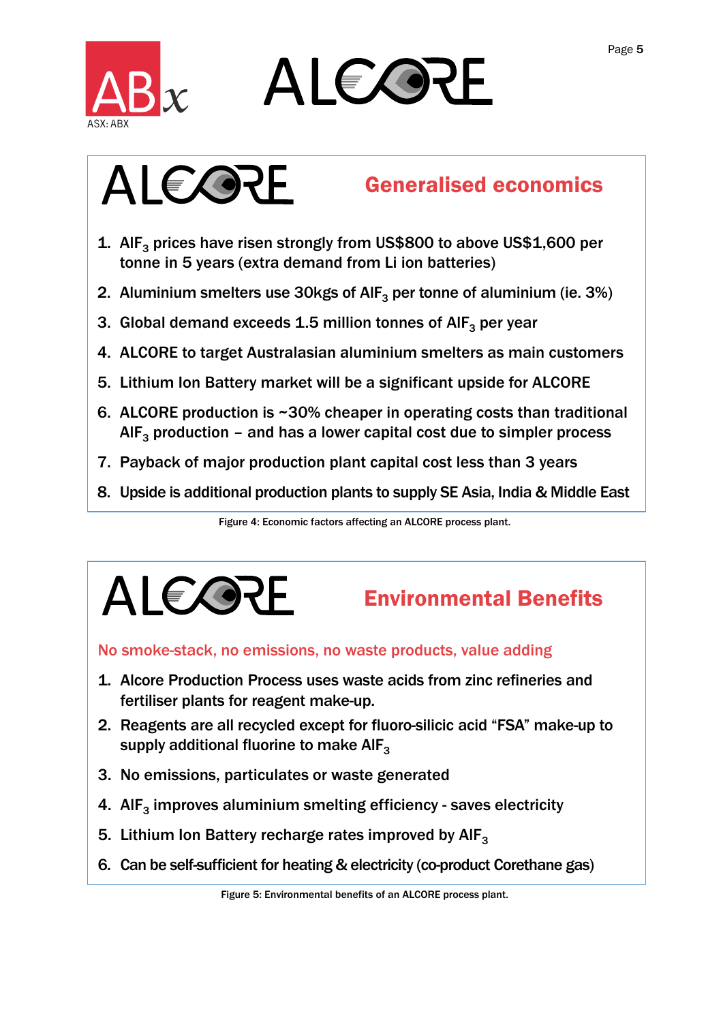

# ALEOZE<br>
RE<br>
Generalised economics



- 1. AlF<sub>3</sub> prices have risen strongly from US\$800 to above US\$1,600 per tonne in 5 years (extra demand from Li ion batteries)
- 2. Aluminium smelters use 30kgs of AlF<sub>3</sub> per tonne of aluminium (ie. 3%)
- 3. Global demand exceeds 1.5 million tonnes of  $\mathsf{AIF}_3$  per year
- 4. ALCORE to target Australasian aluminium smelters as main customers
- 5. Lithium Ion Battery market will be a significant upside for ALCORE
- 2. Aluminium smelters use 30kgs of AlF<sub>3</sub> per tonne of aluminium (ie. 3%)<br>
3. Global demand exceeds 1.5 million tonnes of AlF<sub>3</sub> per year<br>
4. ALCORE to target Australasian aluminium smelters as main customers<br>
5. Lithium
- 7. Payback of major production plant capital cost less than 3 years
- 8. Upside is additional production plants to supply SE Asia, India & Middle East

Figure 4: Economic factors affecting an ALCORE process plant.



### Environmental Benefits

### No smoke-stack, no emissions, no waste products, value adding

- fertiliser plants for reagent make-up.
- 2. Reagents are all recycled except for fluoro-silicic acid "FSA" make-up to supply additional fluorine to make  $\mathsf{AIF}_{3}$ iser plants for reagent make-up.<br>
Sents are all recycled except for fluoro-silicic acid "FSA" make-up.<br>
Sents are all recycled except for fluoro-silicic acid "FSA" make<br>
Iy additional fluorine to make  $AIF_3$ <br>
missions, pa
- 3. No emissions, particulates or waste generated
- 4. Al $F_3$  improves aluminium smelting efficiency saves electricity
- 5. Lithium Ion Battery recharge rates improved by AIF<sub>3</sub>
- 6. Can be self-sufficient for heating & electricity (co-product Corethane gas)

Figure 5: Environmental benefits of an ALCORE process plant.